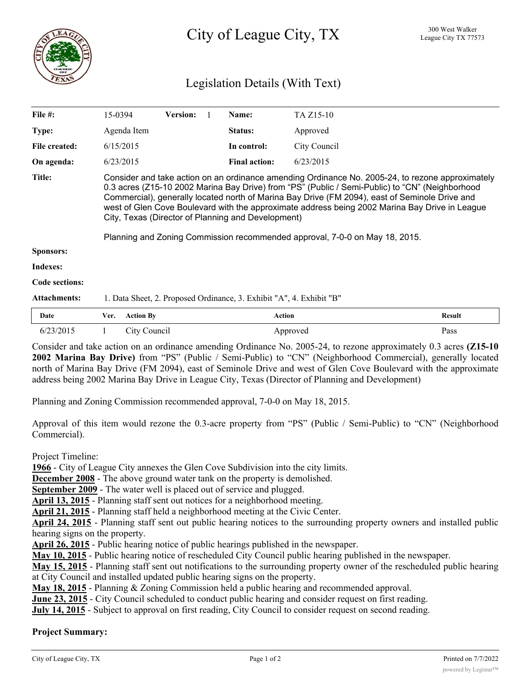

# Legislation Details (With Text)

| File $#$ :          | 15-0394                                                                                                                                                                                                                                                                                                                                                                                                                                                                                                                                      | <b>Version:</b> |  | Name:                | TA Z <sub>15</sub> -10 |               |
|---------------------|----------------------------------------------------------------------------------------------------------------------------------------------------------------------------------------------------------------------------------------------------------------------------------------------------------------------------------------------------------------------------------------------------------------------------------------------------------------------------------------------------------------------------------------------|-----------------|--|----------------------|------------------------|---------------|
| Type:               | Agenda Item                                                                                                                                                                                                                                                                                                                                                                                                                                                                                                                                  |                 |  | Status:              | Approved               |               |
| File created:       | 6/15/2015                                                                                                                                                                                                                                                                                                                                                                                                                                                                                                                                    |                 |  | In control:          | City Council           |               |
| On agenda:          | 6/23/2015                                                                                                                                                                                                                                                                                                                                                                                                                                                                                                                                    |                 |  | <b>Final action:</b> | 6/23/2015              |               |
| <b>Title:</b>       | Consider and take action on an ordinance amending Ordinance No. 2005-24, to rezone approximately<br>0.3 acres (Z15-10 2002 Marina Bay Drive) from "PS" (Public / Semi-Public) to "CN" (Neighborhood<br>Commercial), generally located north of Marina Bay Drive (FM 2094), east of Seminole Drive and<br>west of Glen Cove Boulevard with the approximate address being 2002 Marina Bay Drive in League<br>City, Texas (Director of Planning and Development)<br>Planning and Zoning Commission recommended approval, 7-0-0 on May 18, 2015. |                 |  |                      |                        |               |
| <b>Sponsors:</b>    |                                                                                                                                                                                                                                                                                                                                                                                                                                                                                                                                              |                 |  |                      |                        |               |
| Indexes:            |                                                                                                                                                                                                                                                                                                                                                                                                                                                                                                                                              |                 |  |                      |                        |               |
| Code sections:      |                                                                                                                                                                                                                                                                                                                                                                                                                                                                                                                                              |                 |  |                      |                        |               |
| <b>Attachments:</b> | 1. Data Sheet, 2. Proposed Ordinance, 3. Exhibit "A", 4. Exhibit "B"                                                                                                                                                                                                                                                                                                                                                                                                                                                                         |                 |  |                      |                        |               |
| Date                | <b>Action By</b><br>Ver.                                                                                                                                                                                                                                                                                                                                                                                                                                                                                                                     |                 |  | <b>Action</b>        |                        | <b>Result</b> |

Consider and take action on an ordinance amending Ordinance No. 2005-24, to rezone approximately 0.3 acres **(Z15-10 2002 Marina Bay Drive)** from "PS" (Public / Semi-Public) to "CN" (Neighborhood Commercial), generally located north of Marina Bay Drive (FM 2094), east of Seminole Drive and west of Glen Cove Boulevard with the approximate address being 2002 Marina Bay Drive in League City, Texas (Director of Planning and Development)

6/23/2015 1 City Council Approved Pass

Planning and Zoning Commission recommended approval, 7-0-0 on May 18, 2015.

Approval of this item would rezone the 0.3-acre property from "PS" (Public / Semi-Public) to "CN" (Neighborhood Commercial).

Project Timeline:

**1966** - City of League City annexes the Glen Cove Subdivision into the city limits.

**December 2008** - The above ground water tank on the property is demolished.

**September 2009** - The water well is placed out of service and plugged.

**April 13, 2015** - Planning staff sent out notices for a neighborhood meeting.

**April 21, 2015** - Planning staff held a neighborhood meeting at the Civic Center.

**April 24, 2015** - Planning staff sent out public hearing notices to the surrounding property owners and installed public hearing signs on the property.

**April 26, 2015** - Public hearing notice of public hearings published in the newspaper.

**May 10, 2015** - Public hearing notice of rescheduled City Council public hearing published in the newspaper.

**May 15, 2015** - Planning staff sent out notifications to the surrounding property owner of the rescheduled public hearing at City Council and installed updated public hearing signs on the property.

**May 18, 2015** - Planning & Zoning Commission held a public hearing and recommended approval.

**June 23, 2015** - City Council scheduled to conduct public hearing and consider request on first reading.

**July 14, 2015** - Subject to approval on first reading, City Council to consider request on second reading.

## **Project Summary:**